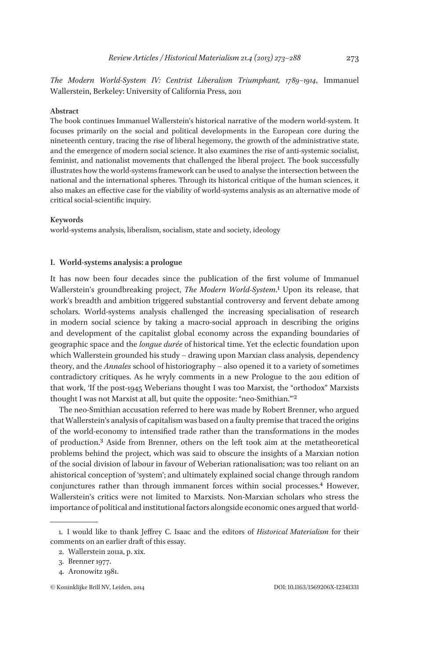*The Modern World-System IV: Centrist Liberalism Triumphant, 1789–1914*, Immanuel Wallerstein, Berkeley: University of California Press, 2011

### **Abstract**

The book continues Immanuel Wallerstein's historical narrative of the modern world-system. It focuses primarily on the social and political developments in the European core during the nineteenth century, tracing the rise of liberal hegemony, the growth of the administrative state, and the emergence of modern social science. It also examines the rise of anti-systemic socialist, feminist, and nationalist movements that challenged the liberal project. The book successfully illustrates how the world-systems framework can be used to analyse the intersection between the national and the international spheres. Through its historical critique of the human sciences, it also makes an effective case for the viability of world-systems analysis as an alternative mode of critical social-scientific inquiry.

## **Keywords**

world-systems analysis, liberalism, socialism, state and society, ideology

# **I. World-systems analysis: a prologue**

It has now been four decades since the publication of the first volume of Immanuel Wallerstein's groundbreaking project, *The Modern World-System*.1 Upon its release, that work's breadth and ambition triggered substantial controversy and fervent debate among scholars. World-systems analysis challenged the increasing specialisation of research in modern social science by taking a macro-social approach in describing the origins and development of the capitalist global economy across the expanding boundaries of geographic space and the *longue durée* of historical time. Yet the eclectic foundation upon which Wallerstein grounded his study – drawing upon Marxian class analysis, dependency theory, and the *Annales* school of historiography – also opened it to a variety of sometimes contradictory critiques. As he wryly comments in a new Prologue to the 2011 edition of that work, 'If the post-1945 Weberians thought I was too Marxist, the "orthodox" Marxists thought I was not Marxist at all, but quite the opposite: "neo-Smithian."'2

The neo-Smithian accusation referred to here was made by Robert Brenner, who argued that Wallerstein's analysis of capitalism was based on a faulty premise that traced the origins of the world-economy to intensified trade rather than the transformations in the modes of production.3 Aside from Brenner, others on the left took aim at the metatheoretical problems behind the project, which was said to obscure the insights of a Marxian notion of the social division of labour in favour of Weberian rationalisation; was too reliant on an ahistorical conception of 'system'; and ultimately explained social change through random conjunctures rather than through immanent forces within social processes.4 However, Wallerstein's critics were not limited to Marxists. Non-Marxian scholars who stress the importance of political and institutional factors alongside economic ones argued that world-

<sup>1.</sup> I would like to thank Jeffrey C. Isaac and the editors of *Historical Materialism* for their comments on an earlier draft of this essay.

<sup>2.</sup> Wallerstein 2011a, p. xix.

<sup>3.</sup> Brenner 1977.

<sup>4.</sup> Aronowitz 1981.

<sup>©</sup> Koninklijke Brill NV, Leiden, 2014 DOI: 10.1163/1569206X-12341331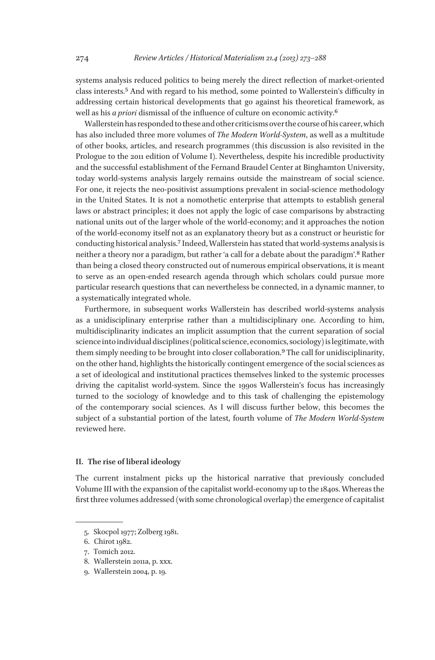systems analysis reduced politics to being merely the direct reflection of market-oriented class interests.5 And with regard to his method, some pointed to Wallerstein's difficulty in addressing certain historical developments that go against his theoretical framework, as well as his *a priori* dismissal of the influence of culture on economic activity.6

Wallerstein has responded to these and other criticisms over the course of his career, which has also included three more volumes of *The Modern World-System*, as well as a multitude of other books, articles, and research programmes (this discussion is also revisited in the Prologue to the 2011 edition of Volume I). Nevertheless, despite his incredible productivity and the successful establishment of the Fernand Braudel Center at Binghamton University, today world-systems analysis largely remains outside the mainstream of social science. For one, it rejects the neo-positivist assumptions prevalent in social-science methodology in the United States. It is not a nomothetic enterprise that attempts to establish general laws or abstract principles; it does not apply the logic of case comparisons by abstracting national units out of the larger whole of the world-economy; and it approaches the notion of the world-economy itself not as an explanatory theory but as a construct or heuristic for conducting historical analysis.7 Indeed, Wallerstein has stated that world-systems analysis is neither a theory nor a paradigm, but rather 'a call for a debate about the paradigm'.8 Rather than being a closed theory constructed out of numerous empirical observations, it is meant to serve as an open-ended research agenda through which scholars could pursue more particular research questions that can nevertheless be connected, in a dynamic manner, to a systematically integrated whole.

Furthermore, in subsequent works Wallerstein has described world-systems analysis as a unidisciplinary enterprise rather than a multidisciplinary one. According to him, multidisciplinarity indicates an implicit assumption that the current separation of social science into individual disciplines (political science, economics, sociology) is legitimate, with them simply needing to be brought into closer collaboration.9 The call for unidisciplinarity, on the other hand, highlights the historically contingent emergence of the social sciences as a set of ideological and institutional practices themselves linked to the systemic processes driving the capitalist world-system. Since the 1990s Wallerstein's focus has increasingly turned to the sociology of knowledge and to this task of challenging the epistemology of the contemporary social sciences. As I will discuss further below, this becomes the subject of a substantial portion of the latest, fourth volume of *The Modern World-System* reviewed here.

### **II. The rise of liberal ideology**

The current instalment picks up the historical narrative that previously concluded Volume III with the expansion of the capitalist world-economy up to the 1840s. Whereas the first three volumes addressed (with some chronological overlap) the emergence of capitalist

<sup>5.</sup> Skocpol 1977; Zolberg 1981.

<sup>6.</sup> Chirot 1982.

<sup>7.</sup> Tomich 2012.

<sup>8.</sup> Wallerstein 2011a, p. xxx.

<sup>9.</sup> Wallerstein 2004, p. 19.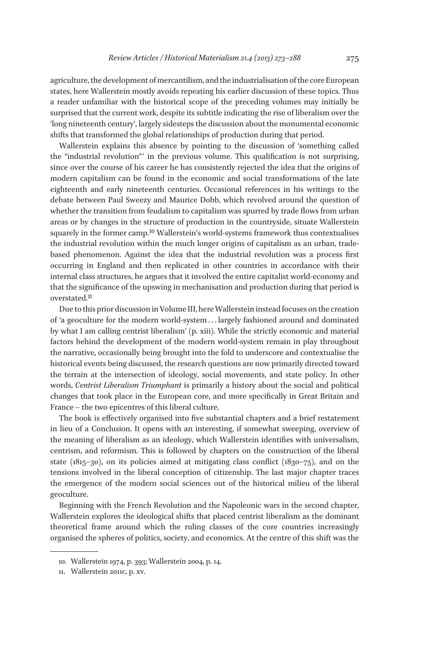agriculture, the development of mercantilism, and the industrialisation of the core European states, here Wallerstein mostly avoids repeating his earlier discussion of these topics. Thus a reader unfamiliar with the historical scope of the preceding volumes may initially be surprised that the current work, despite its subtitle indicating the rise of liberalism over the 'long nineteenth century', largely sidesteps the discussion about the monumental economic shifts that transformed the global relationships of production during that period.

Wallerstein explains this absence by pointing to the discussion of 'something called the "industrial revolution" ' in the previous volume. This qualification is not surprising, since over the course of his career he has consistently rejected the idea that the origins of modern capitalism can be found in the economic and social transformations of the late eighteenth and early nineteenth centuries. Occasional references in his writings to the debate between Paul Sweezy and Maurice Dobb, which revolved around the question of whether the transition from feudalism to capitalism was spurred by trade flows from urban areas or by changes in the structure of production in the countryside, situate Wallerstein squarely in the former camp.<sup>10</sup> Wallerstein's world-systems framework thus contextualises the industrial revolution within the much longer origins of capitalism as an urban, tradebased phenomenon. Against the idea that the industrial revolution was a process first occurring in England and then replicated in other countries in accordance with their internal class structures, he argues that it involved the entire capitalist world-economy and that the significance of the upswing in mechanisation and production during that period is overstated.11

Due to this prior discussion in Volume III, here Wallerstein instead focuses on the creation of 'a geoculture for the modern world-system . . . largely fashioned around and dominated by what I am calling centrist liberalism' (p. xiii). While the strictly economic and material factors behind the development of the modern world-system remain in play throughout the narrative, occasionally being brought into the fold to underscore and contextualise the historical events being discussed, the research questions are now primarily directed toward the terrain at the intersection of ideology, social movements, and state policy. In other words, *Centrist Liberalism Triumphant* is primarily a history about the social and political changes that took place in the European core, and more specifically in Great Britain and France – the two epicentres of this liberal culture.

The book is effectively organised into five substantial chapters and a brief restatement in lieu of a Conclusion. It opens with an interesting, if somewhat sweeping, overview of the meaning of liberalism as an ideology, which Wallerstein identifies with universalism, centrism, and reformism. This is followed by chapters on the construction of the liberal state (1815–30), on its policies aimed at mitigating class conflict (1830–75), and on the tensions involved in the liberal conception of citizenship. The last major chapter traces the emergence of the modern social sciences out of the historical milieu of the liberal geoculture.

Beginning with the French Revolution and the Napoleonic wars in the second chapter, Wallerstein explores the ideological shifts that placed centrist liberalism as the dominant theoretical frame around which the ruling classes of the core countries increasingly organised the spheres of politics, society, and economics. At the centre of this shift was the

<sup>10.</sup> Wallerstein 1974, p. 393; Wallerstein 2004, p. 14.

<sup>11.</sup>Wallerstein 2011c, p. xv.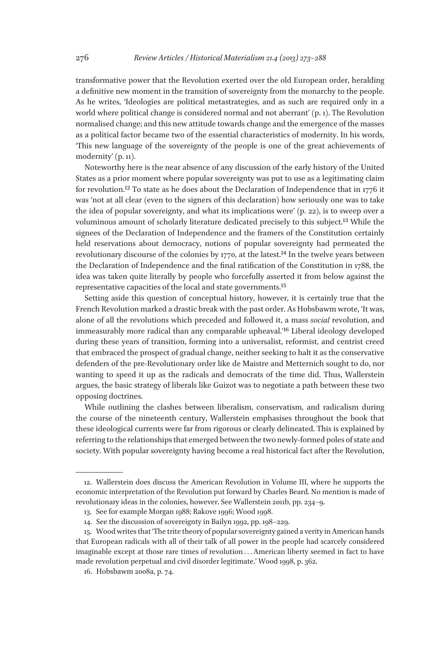transformative power that the Revolution exerted over the old European order, heralding a definitive new moment in the transition of sovereignty from the monarchy to the people. As he writes, 'Ideologies are political metastrategies, and as such are required only in a world where political change is considered normal and not aberrant' (p. 1). The Revolution normalised change; and this new attitude towards change and the emergence of the masses as a political factor became two of the essential characteristics of modernity. In his words, 'This new language of the sovereignty of the people is one of the great achievements of modernity' (p. 11).

Noteworthy here is the near absence of any discussion of the early history of the United States as a prior moment where popular sovereignty was put to use as a legitimating claim for revolution.12 To state as he does about the Declaration of Independence that in 1776 it was 'not at all clear (even to the signers of this declaration) how seriously one was to take the idea of popular sovereignty, and what its implications were' (p. 22), is to sweep over a voluminous amount of scholarly literature dedicated precisely to this subject.13 While the signees of the Declaration of Independence and the framers of the Constitution certainly held reservations about democracy, notions of popular sovereignty had permeated the revolutionary discourse of the colonies by 1770, at the latest.<sup>14</sup> In the twelve years between the Declaration of Independence and the final ratification of the Constitution in 1788, the idea was taken quite literally by people who forcefully asserted it from below against the representative capacities of the local and state governments.15

Setting aside this question of conceptual history, however, it is certainly true that the French Revolution marked a drastic break with the past order. As Hobsbawm wrote, 'It was, alone of all the revolutions which preceded and followed it, a mass *social* revolution, and immeasurably more radical than any comparable upheaval.'16 Liberal ideology developed during these years of transition, forming into a universalist, reformist, and centrist creed that embraced the prospect of gradual change, neither seeking to halt it as the conservative defenders of the pre-Revolutionary order like de Maistre and Metternich sought to do, nor wanting to speed it up as the radicals and democrats of the time did. Thus, Wallerstein argues, the basic strategy of liberals like Guizot was to negotiate a path between these two opposing doctrines.

While outlining the clashes between liberalism, conservatism, and radicalism during the course of the nineteenth century, Wallerstein emphasises throughout the book that these ideological currents were far from rigorous or clearly delineated. This is explained by referring to the relationships that emerged between the two newly-formed poles of state and society. With popular sovereignty having become a real historical fact after the Revolution,

<sup>12.</sup> Wallerstein does discuss the American Revolution in Volume III, where he supports the economic interpretation of the Revolution put forward by Charles Beard. No mention is made of revolutionary ideas in the colonies, however. See Wallerstein 2011b, pp. 234–9.

<sup>13.</sup> See for example Morgan 1988; Rakove 1996; Wood 1998.

<sup>14.</sup> See the discussion of sovereignty in Bailyn 1992, pp. 198–229.

<sup>15.</sup> Wood writes that 'The trite theory of popular sovereignty gained a verity in American hands that European radicals with all of their talk of all power in the people had scarcely considered imaginable except at those rare times of revolution . . . American liberty seemed in fact to have made revolution perpetual and civil disorder legitimate.' Wood 1998, p. 362.

<sup>16.</sup> Hobsbawm 2008a, p. 74.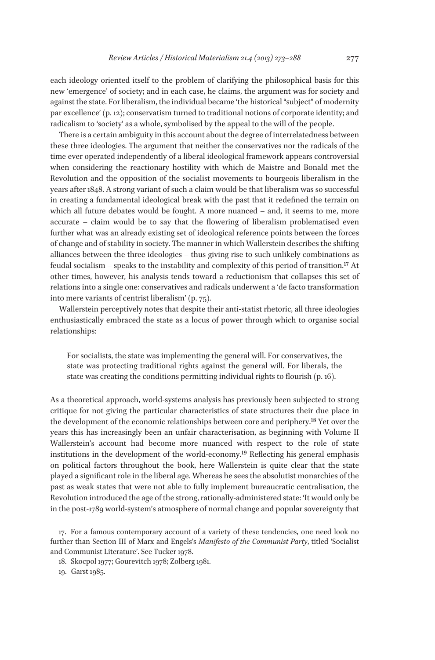each ideology oriented itself to the problem of clarifying the philosophical basis for this new 'emergence' of society; and in each case, he claims, the argument was for society and against the state. For liberalism, the individual became 'the historical "subject" of modernity par excellence' (p. 12); conservatism turned to traditional notions of corporate identity; and radicalism to 'society' as a whole, symbolised by the appeal to the will of the people.

There is a certain ambiguity in this account about the degree of interrelatedness between these three ideologies. The argument that neither the conservatives nor the radicals of the time ever operated independently of a liberal ideological framework appears controversial when considering the reactionary hostility with which de Maistre and Bonald met the Revolution and the opposition of the socialist movements to bourgeois liberalism in the years after 1848. A strong variant of such a claim would be that liberalism was so successful in creating a fundamental ideological break with the past that it redefined the terrain on which all future debates would be fought. A more nuanced – and, it seems to me, more accurate – claim would be to say that the flowering of liberalism problematised even further what was an already existing set of ideological reference points between the forces of change and of stability in society. The manner in which Wallerstein describes the shifting alliances between the three ideologies – thus giving rise to such unlikely combinations as feudal socialism - speaks to the instability and complexity of this period of transition.<sup>17</sup> At other times, however, his analysis tends toward a reductionism that collapses this set of relations into a single one: conservatives and radicals underwent a 'de facto transformation into mere variants of centrist liberalism' (p. 75).

Wallerstein perceptively notes that despite their anti-statist rhetoric, all three ideologies enthusiastically embraced the state as a locus of power through which to organise social relationships:

For socialists, the state was implementing the general will. For conservatives, the state was protecting traditional rights against the general will. For liberals, the state was creating the conditions permitting individual rights to flourish (p. 16).

As a theoretical approach, world-systems analysis has previously been subjected to strong critique for not giving the particular characteristics of state structures their due place in the development of the economic relationships between core and periphery.18 Yet over the years this has increasingly been an unfair characterisation, as beginning with Volume II Wallerstein's account had become more nuanced with respect to the role of state institutions in the development of the world-economy.19 Reflecting his general emphasis on political factors throughout the book, here Wallerstein is quite clear that the state played a significant role in the liberal age. Whereas he sees the absolutist monarchies of the past as weak states that were not able to fully implement bureaucratic centralisation, the Revolution introduced the age of the strong, rationally-administered state: 'It would only be in the post-1789 world-system's atmosphere of normal change and popular sovereignty that

<sup>17.</sup> For a famous contemporary account of a variety of these tendencies, one need look no further than Section III of Marx and Engels's *Manifesto of the Communist Party*, titled 'Socialist and Communist Literature'. See Tucker 1978.

<sup>18.</sup> Skocpol 1977; Gourevitch 1978; Zolberg 1981.

<sup>19.</sup> Garst 1985.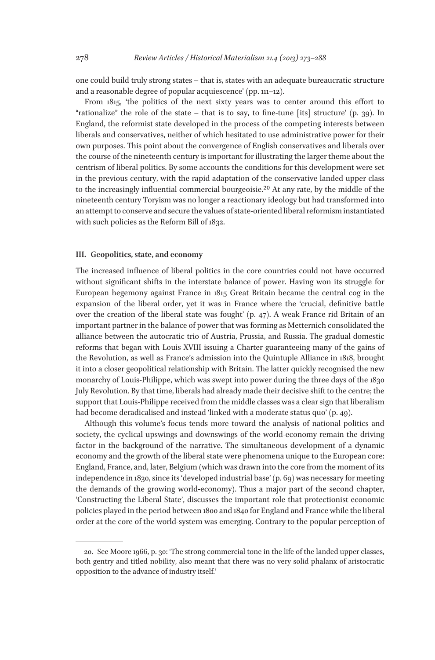one could build truly strong states – that is, states with an adequate bureaucratic structure and a reasonable degree of popular acquiescence' (pp. 111–12).

From 1815, 'the politics of the next sixty years was to center around this effort to "rationalize" the role of the state – that is to say, to fine-tune [its] structure'  $(p, g)$ . In England, the reformist state developed in the process of the competing interests between liberals and conservatives, neither of which hesitated to use administrative power for their own purposes. This point about the convergence of English conservatives and liberals over the course of the nineteenth century is important for illustrating the larger theme about the centrism of liberal politics. By some accounts the conditions for this development were set in the previous century, with the rapid adaptation of the conservative landed upper class to the increasingly influential commercial bourgeoisie.20 At any rate, by the middle of the nineteenth century Toryism was no longer a reactionary ideology but had transformed into an attempt to conserve and secure the values of state-oriented liberal reformism instantiated with such policies as the Reform Bill of 1832.

### **III. Geopolitics, state, and economy**

The increased influence of liberal politics in the core countries could not have occurred without significant shifts in the interstate balance of power. Having won its struggle for European hegemony against France in 1815 Great Britain became the central cog in the expansion of the liberal order, yet it was in France where the 'crucial, definitive battle over the creation of the liberal state was fought' (p. 47). A weak France rid Britain of an important partner in the balance of power that was forming as Metternich consolidated the alliance between the autocratic trio of Austria, Prussia, and Russia. The gradual domestic reforms that began with Louis XVIII issuing a Charter guaranteeing many of the gains of the Revolution, as well as France's admission into the Quintuple Alliance in 1818, brought it into a closer geopolitical relationship with Britain. The latter quickly recognised the new monarchy of Louis-Philippe, which was swept into power during the three days of the 1830 July Revolution. By that time, liberals had already made their decisive shift to the centre; the support that Louis-Philippe received from the middle classes was a clear sign that liberalism had become deradicalised and instead 'linked with a moderate status quo' (p. 49).

Although this volume's focus tends more toward the analysis of national politics and society, the cyclical upswings and downswings of the world-economy remain the driving factor in the background of the narrative. The simultaneous development of a dynamic economy and the growth of the liberal state were phenomena unique to the European core: England, France, and, later, Belgium (which was drawn into the core from the moment of its independence in 1830, since its 'developed industrial base' (p. 69) was necessary for meeting the demands of the growing world-economy). Thus a major part of the second chapter, 'Constructing the Liberal State', discusses the important role that protectionist economic policies played in the period between 1800 and 1840 for England and France while the liberal order at the core of the world-system was emerging. Contrary to the popular perception of

<sup>20.</sup> See Moore 1966, p. 30: 'The strong commercial tone in the life of the landed upper classes, both gentry and titled nobility, also meant that there was no very solid phalanx of aristocratic opposition to the advance of industry itself.'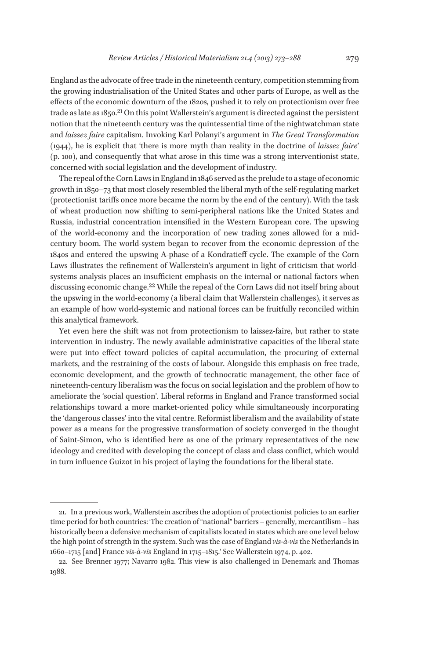England as the advocate of free trade in the nineteenth century, competition stemming from the growing industrialisation of the United States and other parts of Europe, as well as the effects of the economic downturn of the 1820s, pushed it to rely on protectionism over free trade as late as 1850.21 On this point Wallerstein's argument is directed against the persistent notion that the nineteenth century was the quintessential time of the nightwatchman state and *laissez faire* capitalism. Invoking Karl Polanyi's argument in *The Great Transformation*  (1944), he is explicit that 'there is more myth than reality in the doctrine of *laissez faire*' (p. 100), and consequently that what arose in this time was a strong interventionist state, concerned with social legislation and the development of industry.

The repeal of the Corn Laws in England in 1846 served as the prelude to a stage of economic growth in 1850–73 that most closely resembled the liberal myth of the self-regulating market (protectionist tariffs once more became the norm by the end of the century). With the task of wheat production now shifting to semi-peripheral nations like the United States and Russia, industrial concentration intensified in the Western European core. The upswing of the world-economy and the incorporation of new trading zones allowed for a midcentury boom. The world-system began to recover from the economic depression of the 1840s and entered the upswing A-phase of a Kondratieff cycle. The example of the Corn Laws illustrates the refinement of Wallerstein's argument in light of criticism that worldsystems analysis places an insufficient emphasis on the internal or national factors when discussing economic change.22 While the repeal of the Corn Laws did not itself bring about the upswing in the world-economy (a liberal claim that Wallerstein challenges), it serves as an example of how world-systemic and national forces can be fruitfully reconciled within this analytical framework.

Yet even here the shift was not from protectionism to laissez-faire, but rather to state intervention in industry. The newly available administrative capacities of the liberal state were put into effect toward policies of capital accumulation, the procuring of external markets, and the restraining of the costs of labour. Alongside this emphasis on free trade, economic development, and the growth of technocratic management, the other face of nineteenth-century liberalism was the focus on social legislation and the problem of how to ameliorate the 'social question'. Liberal reforms in England and France transformed social relationships toward a more market-oriented policy while simultaneously incorporating the 'dangerous classes' into the vital centre. Reformist liberalism and the availability of state power as a means for the progressive transformation of society converged in the thought of Saint-Simon, who is identified here as one of the primary representatives of the new ideology and credited with developing the concept of class and class conflict, which would in turn influence Guizot in his project of laying the foundations for the liberal state.

<sup>21.</sup> In a previous work, Wallerstein ascribes the adoption of protectionist policies to an earlier time period for both countries: 'The creation of "national" barriers – generally, mercantilism – has historically been a defensive mechanism of capitalists located in states which are one level below the high point of strength in the system. Such was the case of England *vis-à-vis* the Netherlands in 1660–1715 [and] France *vis-à-vis* England in 1715–1815.' See Wallerstein 1974, p. 402.

<sup>22.</sup> See Brenner 1977; Navarro 1982. This view is also challenged in Denemark and Thomas 1988.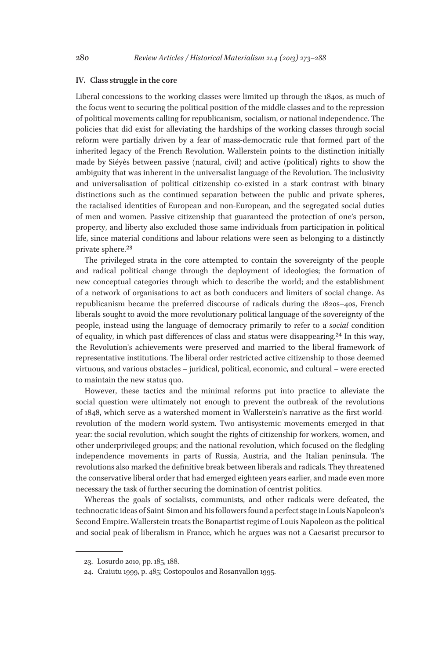## **IV. Class struggle in the core**

Liberal concessions to the working classes were limited up through the 1840s, as much of the focus went to securing the political position of the middle classes and to the repression of political movements calling for republicanism, socialism, or national independence. The policies that did exist for alleviating the hardships of the working classes through social reform were partially driven by a fear of mass-democratic rule that formed part of the inherited legacy of the French Revolution. Wallerstein points to the distinction initially made by Siéyès between passive (natural, civil) and active (political) rights to show the ambiguity that was inherent in the universalist language of the Revolution. The inclusivity and universalisation of political citizenship co-existed in a stark contrast with binary distinctions such as the continued separation between the public and private spheres, the racialised identities of European and non-European, and the segregated social duties of men and women. Passive citizenship that guaranteed the protection of one's person, property, and liberty also excluded those same individuals from participation in political life, since material conditions and labour relations were seen as belonging to a distinctly private sphere.23

The privileged strata in the core attempted to contain the sovereignty of the people and radical political change through the deployment of ideologies; the formation of new conceptual categories through which to describe the world; and the establishment of a network of organisations to act as both conducers and limiters of social change. As republicanism became the preferred discourse of radicals during the 1820s–40s, French liberals sought to avoid the more revolutionary political language of the sovereignty of the people, instead using the language of democracy primarily to refer to a *social* condition of equality, in which past differences of class and status were disappearing.24 In this way, the Revolution's achievements were preserved and married to the liberal framework of representative institutions. The liberal order restricted active citizenship to those deemed virtuous, and various obstacles – juridical, political, economic, and cultural – were erected to maintain the new status quo.

However, these tactics and the minimal reforms put into practice to alleviate the social question were ultimately not enough to prevent the outbreak of the revolutions of 1848, which serve as a watershed moment in Wallerstein's narrative as the first worldrevolution of the modern world-system. Two antisystemic movements emerged in that year: the social revolution, which sought the rights of citizenship for workers, women, and other underprivileged groups; and the national revolution, which focused on the fledgling independence movements in parts of Russia, Austria, and the Italian peninsula. The revolutions also marked the definitive break between liberals and radicals. They threatened the conservative liberal order that had emerged eighteen years earlier, and made even more necessary the task of further securing the domination of centrist politics.

Whereas the goals of socialists, communists, and other radicals were defeated, the technocratic ideas of Saint-Simon and his followers found a perfect stage in Louis Napoleon's Second Empire. Wallerstein treats the Bonapartist regime of Louis Napoleon as the political and social peak of liberalism in France, which he argues was not a Caesarist precursor to

<sup>23.</sup> Losurdo 2010, pp. 185, 188.

<sup>24.</sup> Craiutu 1999, p. 485; Costopoulos and Rosanvallon 1995.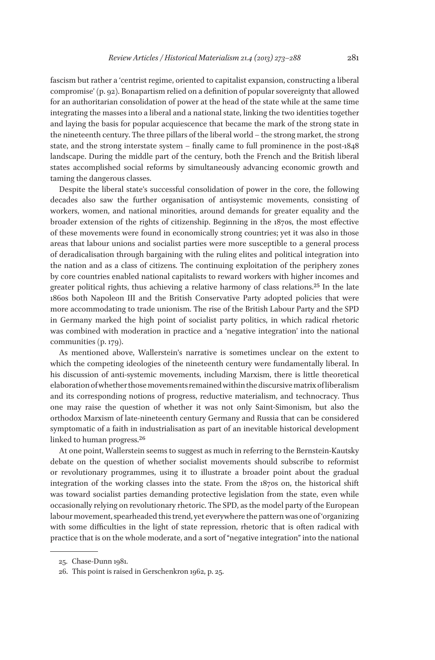fascism but rather a 'centrist regime, oriented to capitalist expansion, constructing a liberal compromise' (p. 92). Bonapartism relied on a definition of popular sovereignty that allowed for an authoritarian consolidation of power at the head of the state while at the same time integrating the masses into a liberal and a national state, linking the two identities together and laying the basis for popular acquiescence that became the mark of the strong state in the nineteenth century. The three pillars of the liberal world – the strong market, the strong state, and the strong interstate system – finally came to full prominence in the post-1848 landscape. During the middle part of the century, both the French and the British liberal states accomplished social reforms by simultaneously advancing economic growth and taming the dangerous classes.

Despite the liberal state's successful consolidation of power in the core, the following decades also saw the further organisation of antisystemic movements, consisting of workers, women, and national minorities, around demands for greater equality and the broader extension of the rights of citizenship. Beginning in the 1870s, the most effective of these movements were found in economically strong countries; yet it was also in those areas that labour unions and socialist parties were more susceptible to a general process of deradicalisation through bargaining with the ruling elites and political integration into the nation and as a class of citizens. The continuing exploitation of the periphery zones by core countries enabled national capitalists to reward workers with higher incomes and greater political rights, thus achieving a relative harmony of class relations.25 In the late 1860s both Napoleon III and the British Conservative Party adopted policies that were more accommodating to trade unionism. The rise of the British Labour Party and the SPD in Germany marked the high point of socialist party politics, in which radical rhetoric was combined with moderation in practice and a 'negative integration' into the national communities (p. 179).

As mentioned above, Wallerstein's narrative is sometimes unclear on the extent to which the competing ideologies of the nineteenth century were fundamentally liberal. In his discussion of anti-systemic movements, including Marxism, there is little theoretical elaboration of whether those movements remained within the discursive matrix of liberalism and its corresponding notions of progress, reductive materialism, and technocracy. Thus one may raise the question of whether it was not only Saint-Simonism, but also the orthodox Marxism of late-nineteenth century Germany and Russia that can be considered symptomatic of a faith in industrialisation as part of an inevitable historical development linked to human progress.26

At one point, Wallerstein seems to suggest as much in referring to the Bernstein-Kautsky debate on the question of whether socialist movements should subscribe to reformist or revolutionary programmes, using it to illustrate a broader point about the gradual integration of the working classes into the state. From the 1870s on, the historical shift was toward socialist parties demanding protective legislation from the state, even while occasionally relying on revolutionary rhetoric. The SPD, as the model party of the European labour movement, spearheaded this trend, yet everywhere the pattern was one of 'organizing with some difficulties in the light of state repression, rhetoric that is often radical with practice that is on the whole moderate, and a sort of "negative integration" into the national

<sup>25.</sup> Chase-Dunn 1981.

<sup>26.</sup> This point is raised in Gerschenkron 1962, p. 25.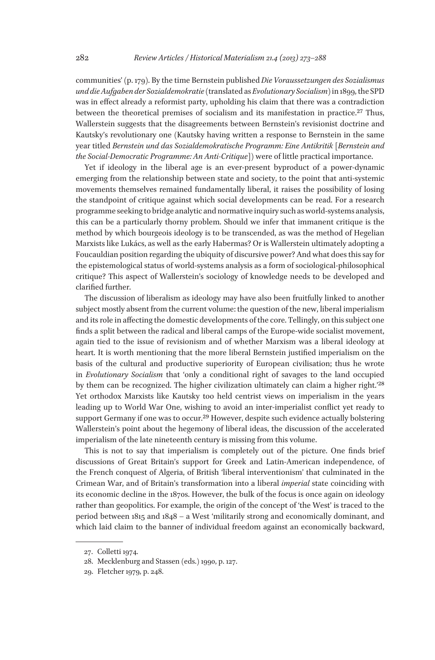communities' (p. 179). By the time Bernstein published *Die Voraussetzungen des Sozialismus und die Aufgaben der Sozialdemokratie* (translated as *Evolutionary Socialism*)in 1899, the SPD was in effect already a reformist party, upholding his claim that there was a contradiction between the theoretical premises of socialism and its manifestation in practice.27 Thus, Wallerstein suggests that the disagreements between Bernstein's revisionist doctrine and Kautsky's revolutionary one (Kautsky having written a response to Bernstein in the same year titled *Bernstein und das Sozialdemokratische Programm: Eine Antikritik* [*Bernstein and the Social-Democratic Programme: An Anti-Critique*]) were of little practical importance.

Yet if ideology in the liberal age is an ever-present byproduct of a power-dynamic emerging from the relationship between state and society, to the point that anti-systemic movements themselves remained fundamentally liberal, it raises the possibility of losing the standpoint of critique against which social developments can be read. For a research programme seeking to bridge analytic and normative inquiry such as world-systems analysis, this can be a particularly thorny problem. Should we infer that immanent critique is the method by which bourgeois ideology is to be transcended, as was the method of Hegelian Marxists like Lukács, as well as the early Habermas? Or is Wallerstein ultimately adopting a Foucauldian position regarding the ubiquity of discursive power? And what does this say for the epistemological status of world-systems analysis as a form of sociological-philosophical critique? This aspect of Wallerstein's sociology of knowledge needs to be developed and clarified further.

The discussion of liberalism as ideology may have also been fruitfully linked to another subject mostly absent from the current volume: the question of the new, liberal imperialism and its role in affecting the domestic developments of the core. Tellingly, on this subject one finds a split between the radical and liberal camps of the Europe-wide socialist movement, again tied to the issue of revisionism and of whether Marxism was a liberal ideology at heart. It is worth mentioning that the more liberal Bernstein justified imperialism on the basis of the cultural and productive superiority of European civilisation; thus he wrote in *Evolutionary Socialism* that 'only a conditional right of savages to the land occupied by them can be recognized. The higher civilization ultimately can claim a higher right.'<sup>28</sup> Yet orthodox Marxists like Kautsky too held centrist views on imperialism in the years leading up to World War One, wishing to avoid an inter-imperialist conflict yet ready to support Germany if one was to occur.<sup>29</sup> However, despite such evidence actually bolstering Wallerstein's point about the hegemony of liberal ideas, the discussion of the accelerated imperialism of the late nineteenth century is missing from this volume.

This is not to say that imperialism is completely out of the picture. One finds brief discussions of Great Britain's support for Greek and Latin-American independence, of the French conquest of Algeria, of British 'liberal interventionism' that culminated in the Crimean War, and of Britain's transformation into a liberal *imperial* state coinciding with its economic decline in the 1870s. However, the bulk of the focus is once again on ideology rather than geopolitics. For example, the origin of the concept of 'the West' is traced to the period between 1815 and 1848 – a West 'militarily strong and economically dominant, and which laid claim to the banner of individual freedom against an economically backward,

<sup>27.</sup> Colletti 1974.

<sup>28.</sup> Mecklenburg and Stassen (eds.) 1990, p. 127.

<sup>29.</sup> Fletcher 1979, p. 248.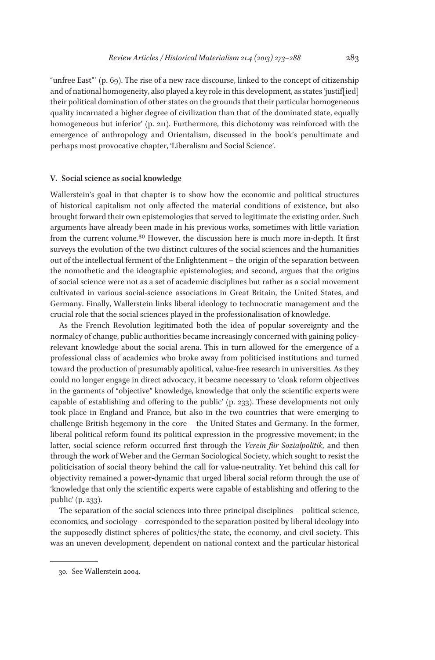"unfree East" ' (p. 69). The rise of a new race discourse, linked to the concept of citizenship and of national homogeneity, also played a key role in this development, as states 'justif[ied] their political domination of other states on the grounds that their particular homogeneous quality incarnated a higher degree of civilization than that of the dominated state, equally homogeneous but inferior' (p. 211). Furthermore, this dichotomy was reinforced with the emergence of anthropology and Orientalism, discussed in the book's penultimate and perhaps most provocative chapter, 'Liberalism and Social Science'.

#### **V. Social science as social knowledge**

Wallerstein's goal in that chapter is to show how the economic and political structures of historical capitalism not only affected the material conditions of existence, but also brought forward their own epistemologies that served to legitimate the existing order. Such arguments have already been made in his previous works, sometimes with little variation from the current volume.30 However, the discussion here is much more in-depth. It first surveys the evolution of the two distinct cultures of the social sciences and the humanities out of the intellectual ferment of the Enlightenment – the origin of the separation between the nomothetic and the ideographic epistemologies; and second, argues that the origins of social science were not as a set of academic disciplines but rather as a social movement cultivated in various social-science associations in Great Britain, the United States, and Germany. Finally, Wallerstein links liberal ideology to technocratic management and the crucial role that the social sciences played in the professionalisation of knowledge.

As the French Revolution legitimated both the idea of popular sovereignty and the normalcy of change, public authorities became increasingly concerned with gaining policyrelevant knowledge about the social arena. This in turn allowed for the emergence of a professional class of academics who broke away from politicised institutions and turned toward the production of presumably apolitical, value-free research in universities. As they could no longer engage in direct advocacy, it became necessary to 'cloak reform objectives in the garments of "objective" knowledge, knowledge that only the scientific experts were capable of establishing and offering to the public' (p. 233). These developments not only took place in England and France, but also in the two countries that were emerging to challenge British hegemony in the core – the United States and Germany. In the former, liberal political reform found its political expression in the progressive movement; in the latter, social-science reform occurred first through the *Verein für Sozialpolitik*, and then through the work of Weber and the German Sociological Society, which sought to resist the politicisation of social theory behind the call for value-neutrality. Yet behind this call for objectivity remained a power-dynamic that urged liberal social reform through the use of 'knowledge that only the scientific experts were capable of establishing and offering to the public' (p. 233).

The separation of the social sciences into three principal disciplines – political science, economics, and sociology – corresponded to the separation posited by liberal ideology into the supposedly distinct spheres of politics/the state, the economy, and civil society. This was an uneven development, dependent on national context and the particular historical

<sup>30.</sup> See Wallerstein 2004.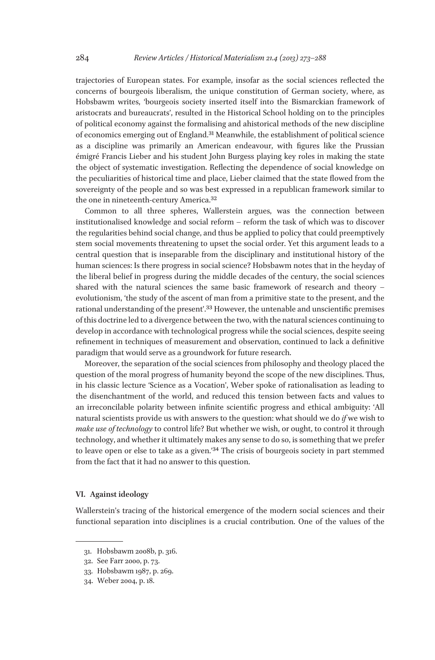trajectories of European states. For example, insofar as the social sciences reflected the concerns of bourgeois liberalism, the unique constitution of German society, where, as Hobsbawm writes, 'bourgeois society inserted itself into the Bismarckian framework of aristocrats and bureaucrats', resulted in the Historical School holding on to the principles of political economy against the formalising and ahistorical methods of the new discipline of economics emerging out of England.31 Meanwhile, the establishment of political science as a discipline was primarily an American endeavour, with figures like the Prussian émigré Francis Lieber and his student John Burgess playing key roles in making the state the object of systematic investigation. Reflecting the dependence of social knowledge on the peculiarities of historical time and place, Lieber claimed that the state flowed from the sovereignty of the people and so was best expressed in a republican framework similar to the one in nineteenth-century America.32

Common to all three spheres, Wallerstein argues, was the connection between institutionalised knowledge and social reform – reform the task of which was to discover the regularities behind social change, and thus be applied to policy that could preemptively stem social movements threatening to upset the social order. Yet this argument leads to a central question that is inseparable from the disciplinary and institutional history of the human sciences: Is there progress in social science? Hobsbawm notes that in the heyday of the liberal belief in progress during the middle decades of the century, the social sciences shared with the natural sciences the same basic framework of research and theory – evolutionism, 'the study of the ascent of man from a primitive state to the present, and the rational understanding of the present'.<sup>33</sup> However, the untenable and unscientific premises of this doctrine led to a divergence between the two, with the natural sciences continuing to develop in accordance with technological progress while the social sciences, despite seeing refinement in techniques of measurement and observation, continued to lack a definitive paradigm that would serve as a groundwork for future research.

Moreover, the separation of the social sciences from philosophy and theology placed the question of the moral progress of humanity beyond the scope of the new disciplines. Thus, in his classic lecture 'Science as a Vocation', Weber spoke of rationalisation as leading to the disenchantment of the world, and reduced this tension between facts and values to an irreconcilable polarity between infinite scientific progress and ethical ambiguity: 'All natural scientists provide us with answers to the question: what should we do *if* we wish to *make use of technology* to control life? But whether we wish, or ought, to control it through technology, and whether it ultimately makes any sense to do so, is something that we prefer to leave open or else to take as a given.'34 The crisis of bourgeois society in part stemmed from the fact that it had no answer to this question.

#### **VI. Against ideology**

Wallerstein's tracing of the historical emergence of the modern social sciences and their functional separation into disciplines is a crucial contribution. One of the values of the

<sup>31.</sup>Hobsbawm 2008b, p. 316.

<sup>32.</sup> See Farr 2000, p. 73.

<sup>33.</sup> Hobsbawm 1987, p. 269.

<sup>34.</sup> Weber 2004, p. 18.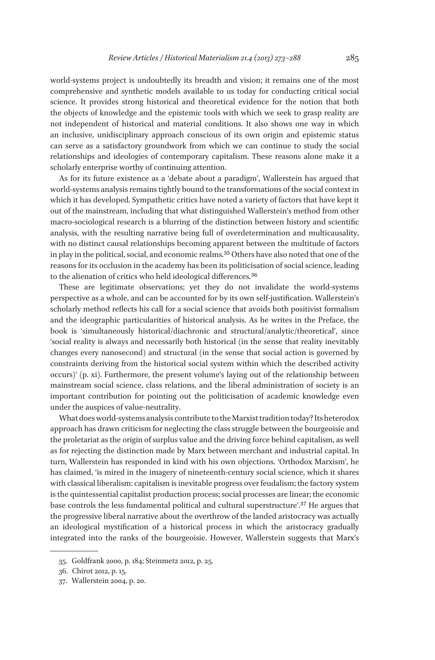world-systems project is undoubtedly its breadth and vision; it remains one of the most comprehensive and synthetic models available to us today for conducting critical social science. It provides strong historical and theoretical evidence for the notion that both the objects of knowledge and the epistemic tools with which we seek to grasp reality are not independent of historical and material conditions. It also shows one way in which an inclusive, unidisciplinary approach conscious of its own origin and epistemic status can serve as a satisfactory groundwork from which we can continue to study the social relationships and ideologies of contemporary capitalism. These reasons alone make it a scholarly enterprise worthy of continuing attention.

As for its future existence as a 'debate about a paradigm', Wallerstein has argued that world-systems analysis remains tightly bound to the transformations of the social context in which it has developed. Sympathetic critics have noted a variety of factors that have kept it out of the mainstream, including that what distinguished Wallerstein's method from other macro-sociological research is a blurring of the distinction between history and scientific analysis, with the resulting narrative being full of overdetermination and multicausality, with no distinct causal relationships becoming apparent between the multitude of factors in play in the political, social, and economic realms.35 Others have also noted that one of the reasons for its occlusion in the academy has been its politicisation of social science, leading to the alienation of critics who held ideological differences.36

These are legitimate observations; yet they do not invalidate the world-systems perspective as a whole, and can be accounted for by its own self-justification. Wallerstein's scholarly method reflects his call for a social science that avoids both positivist formalism and the ideographic particularities of historical analysis. As he writes in the Preface, the book is 'simultaneously historical/diachronic and structural/analytic/theoretical', since 'social reality is always and necessarily both historical (in the sense that reality inevitably changes every nanosecond) and structural (in the sense that social action is governed by constraints deriving from the historical social system within which the described activity occurs)' (p. xi). Furthermore, the present volume's laying out of the relationship between mainstream social science, class relations, and the liberal administration of society is an important contribution for pointing out the politicisation of academic knowledge even under the auspices of value-neutrality.

What does world-systems analysis contribute to the Marxist tradition today? Its heterodox approach has drawn criticism for neglecting the class struggle between the bourgeoisie and the proletariat as the origin of surplus value and the driving force behind capitalism, as well as for rejecting the distinction made by Marx between merchant and industrial capital. In turn, Wallerstein has responded in kind with his own objections. 'Orthodox Marxism', he has claimed, 'is mired in the imagery of nineteenth-century social science, which it shares with classical liberalism: capitalism is inevitable progress over feudalism; the factory system is the quintessential capitalist production process; social processes are linear; the economic base controls the less fundamental political and cultural superstructure'.37 He argues that the progressive liberal narrative about the overthrow of the landed aristocracy was actually an ideological mystification of a historical process in which the aristocracy gradually integrated into the ranks of the bourgeoisie. However, Wallerstein suggests that Marx's

<sup>35.</sup> Goldfrank 2000, p. 184; Steinmetz 2012, p. 25.

<sup>36.</sup> Chirot 2012, p. 15.

<sup>37.</sup> Wallerstein 2004, p. 20.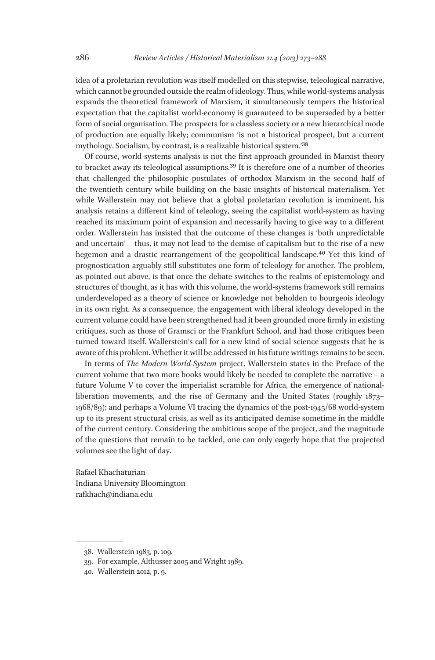idea of a proletarian revolution was itself modelled on this stepwise, teleological narrative, which cannot be grounded outside the realm of ideology. Thus, while world-systems analysis expands the theoretical framework of Marxism, it simultaneously tempers the historical expectation that the capitalist world-economy is guaranteed to be superseded by a better form of social organisation. The prospects for a classless society or a new hierarchical mode of production are equally likely; communism 'is not a historical prospect, but a current mythology. Socialism, by contrast, is a realizable historical system.'38

Of course, world-systems analysis is not the first approach grounded in Marxist theory to bracket away its teleological assumptions.<sup>39</sup> It is therefore one of a number of theories that challenged the philosophic postulates of orthodox Marxism in the second half of the twentieth century while building on the basic insights of historical materialism. Yet while Wallerstein may not believe that a global proletarian revolution is imminent, his analysis retains a different kind of teleology, seeing the capitalist world-system as having reached its maximum point of expansion and necessarily having to give way to a different order. Wallerstein has insisted that the outcome of these changes is 'both unpredictable and uncertain' – thus, it may not lead to the demise of capitalism but to the rise of a new hegemon and a drastic rearrangement of the geopolitical landscape.40 Yet this kind of prognostication arguably still substitutes one form of teleology for another. The problem, as pointed out above, is that once the debate switches to the realms of epistemology and structures of thought, as it has with this volume, the world-systems framework still remains underdeveloped as a theory of science or knowledge not beholden to bourgeois ideology in its own right. As a consequence, the engagement with liberal ideology developed in the current volume could have been strengthened had it been grounded more firmly in existing critiques, such as those of Gramsci or the Frankfurt School, and had those critiques been turned toward itself. Wallerstein's call for a new kind of social science suggests that he is aware of this problem. Whether it will be addressed in his future writings remains to be seen.

In terms of *The Modern World-System* project, Wallerstein states in the Preface of the current volume that two more books would likely be needed to complete the narrative – a future Volume V to cover the imperialist scramble for Africa, the emergence of nationalliberation movements, and the rise of Germany and the United States (roughly 1873– 1968/89); and perhaps a Volume VI tracing the dynamics of the post-1945/68 world-system up to its present structural crisis, as well as its anticipated demise sometime in the middle of the current century. Considering the ambitious scope of the project, and the magnitude of the questions that remain to be tackled, one can only eagerly hope that the projected volumes see the light of day.

Rafael Khachaturian Indiana University Bloomington rafkhach@indiana.edu

<sup>38.</sup> Wallerstein 1983, p. 109.

<sup>39.</sup> For example, Althusser 2005 and Wright 1989.

<sup>40.</sup> Wallerstein 2012, p. 9.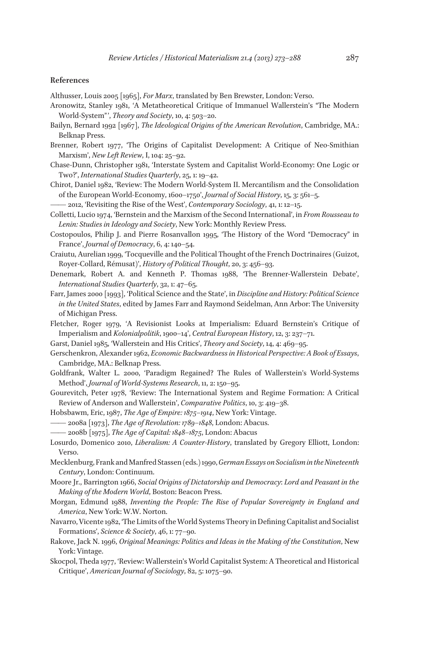# **References**

Althusser, Louis 2005 [1965], *For Marx*, translated by Ben Brewster, London: Verso.

- Aronowitz, Stanley 1981, 'A Metatheoretical Critique of Immanuel Wallerstein's "The Modern World-System" ', *Theory and Society*, 10, 4: 503–20.
- Bailyn, Bernard 1992 [1967], *The Ideological Origins of the American Revolution*, Cambridge, MA.: Belknap Press.
- Brenner, Robert 1977, 'The Origins of Capitalist Development: A Critique of Neo-Smithian Marxism', *New Left Review*, I, 104: 25–92.
- Chase-Dunn, Christopher 1981, 'Interstate System and Capitalist World-Economy: One Logic or Two?', *International Studies Quarterly*, 25, 1: 19–42.
- Chirot, Daniel 1982, 'Review: The Modern World-System II. Mercantilism and the Consolidation of the European World-Economy, 1600–1750', *Journal of Social History*, 15, 3: 561–5.
- —— 2012, 'Revisiting the Rise of the West', *Contemporary Sociology*, 41, 1: 12–15.
- Colletti, Lucio 1974, 'Bernstein and the Marxism of the Second International', in *From Rousseau to Lenin: Studies in Ideology and Society*, New York: Monthly Review Press.
- Costopoulos, Philip J. and Pierre Rosanvallon 1995, 'The History of the Word "Democracy" in France', *Journal of Democracy*, 6, 4: 140–54.
- Craiutu, Aurelian 1999, 'Tocqueville and the Political Thought of the French Doctrinaires (Guizot, Royer-Collard, Rémusat)', *History of Political Thought*, 20, 3: 456–93.
- Denemark, Robert A. and Kenneth P. Thomas 1988, 'The Brenner-Wallerstein Debate', *International Studies Quarterly*, 32, 1: 47–65.
- Farr, James 2000 [1993], 'Political Science and the State', in *Discipline and History: Political Science in the United States*, edited by James Farr and Raymond Seidelman, Ann Arbor: The University of Michigan Press.
- Fletcher, Roger 1979, 'A Revisionist Looks at Imperialism: Eduard Bernstein's Critique of Imperialism and *Kolonialpolitik*, 1900–14', *Central European History*, 12, 3: 237–71.
- Garst, Daniel 1985, 'Wallerstein and His Critics', *Theory and Society*, 14, 4: 469–95.
- Gerschenkron, Alexander 1962, *Economic Backwardness in Historical Perspective: A Book of Essays*, Cambridge, MA.: Belknap Press.
- Goldfrank, Walter L. 2000, 'Paradigm Regained? The Rules of Wallerstein's World-Systems Method', *Journal of World-Systems Research*, 11, 2: 150–95.
- Gourevitch, Peter 1978, 'Review: The International System and Regime Formation: A Critical Review of Anderson and Wallerstein', *Comparative Politics*, 10, 3: 419–38.
- Hobsbawm, Eric, 1987, *The Age of Empire: 1875–1914*, New York: Vintage.
- —— 2008a [1973], *The Age of Revolution: 1789–1848*, London: Abacus.
- —— 2008b [1975], *The Age of Capital: 1848–1875*, London: Abacus
- Losurdo, Domenico 2010, *Liberalism: A Counter-History*, translated by Gregory Elliott, London: Verso.
- Mecklenburg, Frank and Manfred Stassen (eds.) 1990, *German Essays on Socialism in the Nineteenth Century*, London: Continuum.
- Moore Jr., Barrington 1966, *Social Origins of Dictatorship and Democracy*: *Lord and Peasant in the Making of the Modern World*, Boston: Beacon Press.
- Morgan, Edmund 1988, *Inventing the People: The Rise of Popular Sovereignty in England and America*, New York: W.W. Norton.
- Navarro, Vicente 1982, 'The Limits of the World Systems Theory in Defining Capitalist and Socialist Formations', *Science & Society*, 46, 1: 77–90.
- Rakove, Jack N. 1996, *Original Meanings: Politics and Ideas in the Making of the Constitution*, New York: Vintage.
- Skocpol, Theda 1977, 'Review: Wallerstein's World Capitalist System: A Theoretical and Historical Critique', *American Journal of Sociology*, 82, 5: 1075–90.